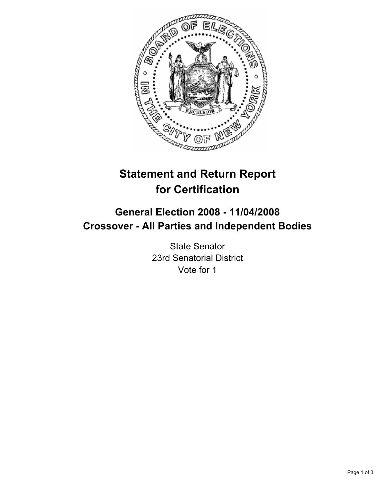

# **Statement and Return Report for Certification**

## **General Election 2008 - 11/04/2008 Crossover - All Parties and Independent Bodies**

State Senator 23rd Senatorial District Vote for 1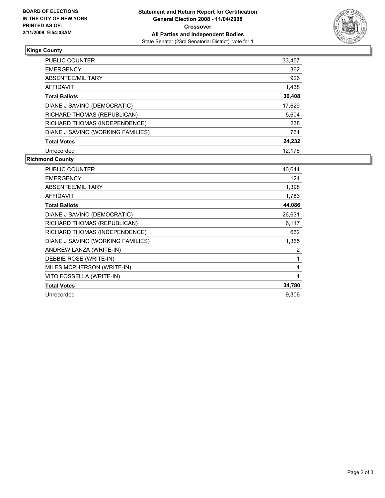

### **Kings County**

| PUBLIC COUNTER                    | 33,457 |
|-----------------------------------|--------|
| <b>EMERGENCY</b>                  | 362    |
| ABSENTEE/MILITARY                 | 926    |
| AFFIDAVIT                         | 1,438  |
| <b>Total Ballots</b>              | 36,408 |
| DIANE J SAVINO (DEMOCRATIC)       | 17,629 |
| RICHARD THOMAS (REPUBLICAN)       | 5,604  |
| RICHARD THOMAS (INDEPENDENCE)     | 238    |
| DIANE J SAVINO (WORKING FAMILIES) | 761    |
| <b>Total Votes</b>                | 24,232 |
| Unrecorded                        | 12.176 |

### **Richmond County**

| PUBLIC COUNTER                    | 40,644 |
|-----------------------------------|--------|
| <b>EMERGENCY</b>                  | 124    |
| ABSENTEE/MILITARY                 | 1,398  |
| <b>AFFIDAVIT</b>                  | 1,783  |
| <b>Total Ballots</b>              | 44,086 |
| DIANE J SAVINO (DEMOCRATIC)       | 26,631 |
| RICHARD THOMAS (REPUBLICAN)       | 6,117  |
| RICHARD THOMAS (INDEPENDENCE)     | 662    |
| DIANE J SAVINO (WORKING FAMILIES) | 1,365  |
| ANDREW LANZA (WRITE-IN)           | 2      |
| DEBBIE ROSE (WRITE-IN)            |        |
| MILES MCPHERSON (WRITE-IN)        |        |
| VITO FOSSELLA (WRITE-IN)          |        |
| <b>Total Votes</b>                | 34,780 |
| Unrecorded                        | 9,306  |